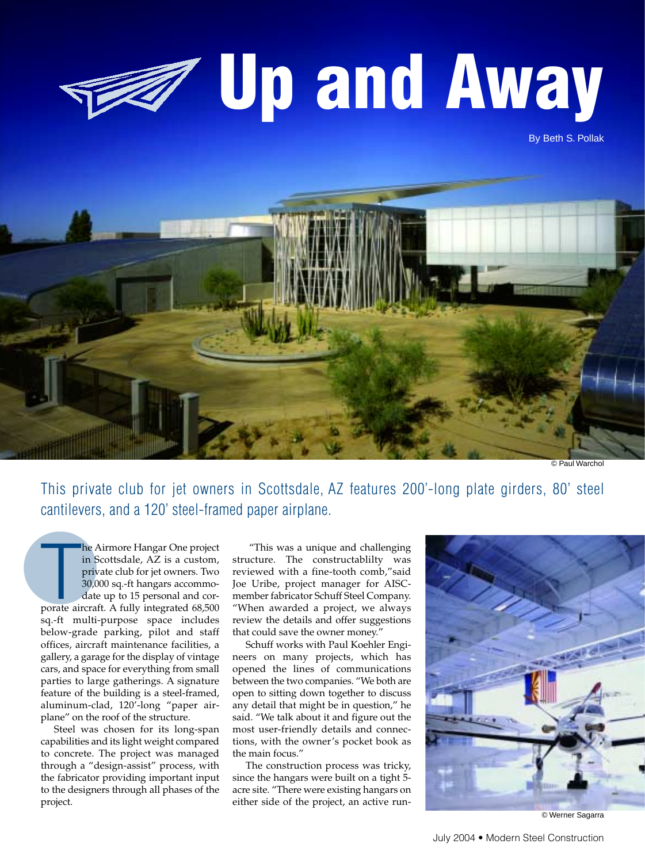# **Up and Away**

By Beth S. Pollak



© Paul Warchol

This private club for jet owners in Scottsdale, AZ features 200'-long plate girders, 80' steel cantilevers, and a 120' steel-framed paper airplane.

The Airmore Hangar One project<br>in Scottsdale, AZ is a custom,<br>private club for jet owners. Two<br>30,000 sq.-ft hangars accommo-<br>date up to 15 personal and cor-<br>porate aircraft. A fully integrated 68,500 he Airmore Hangar One project in Scottsdale, AZ is a custom, private club for jet owners. Two 30,000 sq.-ft hangars accommodate up to 15 personal and corsq.-ft multi-purpose space includes below-grade parking, pilot and staff offices, aircraft maintenance facilities, a gallery, a garage for the display of vintage cars, and space for everything from small parties to large gatherings. A signature feature of the building is a steel-framed, aluminum-clad, 120'-long "paper airplane" on the roof of the structure.

Steel was chosen for its long-span capabilities and its light weight compared to concrete. The project was managed through a "design-assist" process, with the fabricator providing important input to the designers through all phases of the project.

"This was a unique and challenging structure. The constructablilty was reviewed with a fine-tooth comb,"said Joe Uribe, project manager for AISCmember fabricator Schuff Steel Company. "When awarded a project, we always review the details and offer suggestions that could save the owner money."

Schuff works with Paul Koehler Engineers on many projects, which has opened the lines of communications between the two companies. "We both are open to sitting down together to discuss any detail that might be in question," he said. "We talk about it and figure out the most user-friendly details and connections, with the owner's pocket book as the main focus."

The construction process was tricky, since the hangars were built on a tight 5 acre site. "There were existing hangars on either side of the project, an active run-



© Werner Sagarra